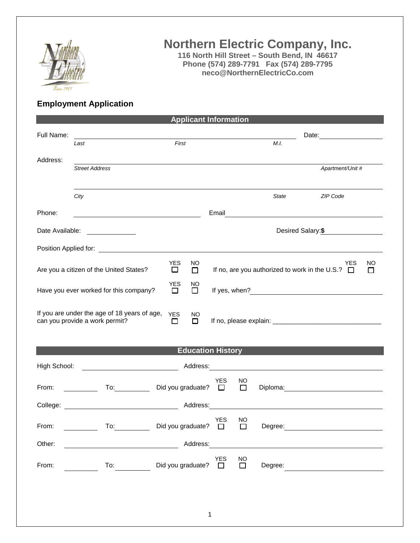

## **Northern Electric Company, Inc.**

**116 North Hill Street – South Bend, IN 46617 Phone (574) 289-7791 Fax (574) 289-7795 neco@NorthernElectricCo.com**

## **Employment Application**

|                                                                                                                                                        |                                                                                                                       | <b>Applicant Information</b>                                                     |            |                      |         |                                                                                                                                                                                                                               |  |  |
|--------------------------------------------------------------------------------------------------------------------------------------------------------|-----------------------------------------------------------------------------------------------------------------------|----------------------------------------------------------------------------------|------------|----------------------|---------|-------------------------------------------------------------------------------------------------------------------------------------------------------------------------------------------------------------------------------|--|--|
| Full Name:                                                                                                                                             | Last                                                                                                                  | Date: 2008<br><u> 1989 - Johann Stoff, amerikansk politiker (* 1908)</u><br>M.I. |            |                      |         |                                                                                                                                                                                                                               |  |  |
|                                                                                                                                                        |                                                                                                                       | First                                                                            |            |                      |         |                                                                                                                                                                                                                               |  |  |
| Address:                                                                                                                                               | <b>Street Address</b>                                                                                                 |                                                                                  |            |                      |         | Apartment/Unit #                                                                                                                                                                                                              |  |  |
|                                                                                                                                                        | City                                                                                                                  |                                                                                  |            |                      | State   | ZIP Code                                                                                                                                                                                                                      |  |  |
| Phone:                                                                                                                                                 | <u> 1989 - Johann Barn, mars ann an t-Amhair an t-Amhair an t-Amhair an t-Amhair an t-Amhair an t-Amhair an t-Amh</u> |                                                                                  |            |                      |         |                                                                                                                                                                                                                               |  |  |
| Date Available:                                                                                                                                        |                                                                                                                       |                                                                                  |            |                      |         | Desired Salary: \$                                                                                                                                                                                                            |  |  |
|                                                                                                                                                        |                                                                                                                       |                                                                                  |            |                      |         |                                                                                                                                                                                                                               |  |  |
| <b>YES</b><br><b>YES</b><br>NO<br>If no, are you authorized to work in the U.S.? $\Box$<br>Are you a citizen of the United States?<br>$\Box$<br>$\Box$ |                                                                                                                       |                                                                                  |            |                      |         | NO<br>□                                                                                                                                                                                                                       |  |  |
| <b>YES</b><br>NO<br>Have you ever worked for this company?<br>□<br>□                                                                                   |                                                                                                                       |                                                                                  |            |                      |         |                                                                                                                                                                                                                               |  |  |
| If you are under the age of 18 years of age, YES<br>NO<br>can you provide a work permit?<br>$\Box$<br>□                                                |                                                                                                                       |                                                                                  |            |                      |         |                                                                                                                                                                                                                               |  |  |
| <b>Education History</b>                                                                                                                               |                                                                                                                       |                                                                                  |            |                      |         |                                                                                                                                                                                                                               |  |  |
| High School:                                                                                                                                           |                                                                                                                       |                                                                                  |            |                      |         |                                                                                                                                                                                                                               |  |  |
| From:                                                                                                                                                  | <u> 1999 - Jan Jawa</u>                                                                                               | Did you graduate? $\square$                                                      | YES        | NO<br>$\Box$         |         | Diploma: 2000 Company Company Company Company Company Company Company Company Company Company Company Company Company Company Company Company Company Company Company Company Company Company Company Company Company Company |  |  |
| Address:<br><u> 1980 - Jan Stein Stein Stein Stein Stein Stein Stein Stein Stein Stein Stein Stein Stein Stein Stein Stein S</u>                       |                                                                                                                       |                                                                                  |            |                      |         |                                                                                                                                                                                                                               |  |  |
| From:                                                                                                                                                  | $\overline{10}$ :                                                                                                     | Did you graduate? $\Box$ Degree:                                                 | <b>YES</b> | NO                   |         |                                                                                                                                                                                                                               |  |  |
| Other:                                                                                                                                                 |                                                                                                                       | Address:                                                                         |            |                      |         |                                                                                                                                                                                                                               |  |  |
| From:                                                                                                                                                  | To:                                                                                                                   | Did you graduate? $\square$                                                      | YES        | $\overline{\square}$ | Degree: |                                                                                                                                                                                                                               |  |  |
|                                                                                                                                                        |                                                                                                                       |                                                                                  |            |                      |         |                                                                                                                                                                                                                               |  |  |
|                                                                                                                                                        |                                                                                                                       |                                                                                  |            |                      |         |                                                                                                                                                                                                                               |  |  |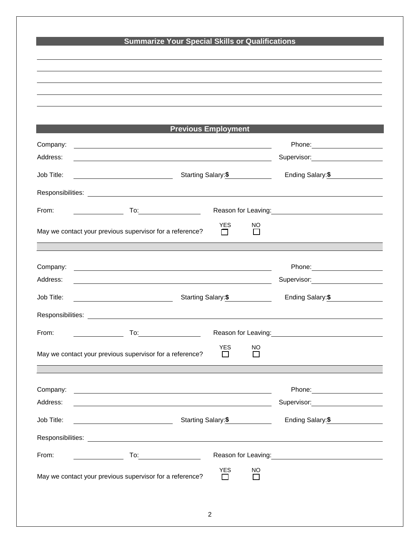|                                                                                                                                                                                                                               | <b>Summarize Your Special Skills or Qualifications</b>                                                                                      |                                                                                                                                                                                                                                        |  |
|-------------------------------------------------------------------------------------------------------------------------------------------------------------------------------------------------------------------------------|---------------------------------------------------------------------------------------------------------------------------------------------|----------------------------------------------------------------------------------------------------------------------------------------------------------------------------------------------------------------------------------------|--|
|                                                                                                                                                                                                                               |                                                                                                                                             |                                                                                                                                                                                                                                        |  |
|                                                                                                                                                                                                                               |                                                                                                                                             |                                                                                                                                                                                                                                        |  |
|                                                                                                                                                                                                                               |                                                                                                                                             |                                                                                                                                                                                                                                        |  |
|                                                                                                                                                                                                                               |                                                                                                                                             |                                                                                                                                                                                                                                        |  |
|                                                                                                                                                                                                                               | <b>Previous Employment</b>                                                                                                                  |                                                                                                                                                                                                                                        |  |
| Company:<br><u> 1989 - Johann Barn, mars ann an t-Amhain an t-Amhain ann an t-Amhain an t-Amhain an t-Amhain an t-Amhain ann </u>                                                                                             |                                                                                                                                             |                                                                                                                                                                                                                                        |  |
| Address:<br><u> 1989 - Johann Stoff, amerikansk politiker (* 1908)</u>                                                                                                                                                        |                                                                                                                                             | Supervisor: 2000                                                                                                                                                                                                                       |  |
| Job Title:                                                                                                                                                                                                                    | Starting Salary:\$                                                                                                                          |                                                                                                                                                                                                                                        |  |
|                                                                                                                                                                                                                               |                                                                                                                                             |                                                                                                                                                                                                                                        |  |
| From:<br><u> 1990 - Johann Barbara, martin a</u>                                                                                                                                                                              |                                                                                                                                             | Reason for Leaving:<br><u>Next and the manufacture of the set of the set of the set of the set of the set of the set of the set of the set of the set of the set of the set of the set of the set of the set of the set of the set</u> |  |
|                                                                                                                                                                                                                               | <b>YES</b>                                                                                                                                  | NO.                                                                                                                                                                                                                                    |  |
| May we contact your previous supervisor for a reference?                                                                                                                                                                      | П                                                                                                                                           | $\mathsf{L}$                                                                                                                                                                                                                           |  |
|                                                                                                                                                                                                                               |                                                                                                                                             |                                                                                                                                                                                                                                        |  |
| Company:<br><u> 1989 - Johann Stoff, deutscher Stoffen und der Stoffen und der Stoffen und der Stoffen und der Stoffen und der</u>                                                                                            |                                                                                                                                             | Phone: ________________________                                                                                                                                                                                                        |  |
| Address:                                                                                                                                                                                                                      |                                                                                                                                             | Supervisor: 2000                                                                                                                                                                                                                       |  |
| Job Title:<br><u> 1990 - Johann Barbara, martin a</u>                                                                                                                                                                         | Starting Salary:\$                                                                                                                          |                                                                                                                                                                                                                                        |  |
|                                                                                                                                                                                                                               |                                                                                                                                             |                                                                                                                                                                                                                                        |  |
| From:                                                                                                                                                                                                                         | Reason for Leaving: <u>contained and all property and all property and all property</u>                                                     |                                                                                                                                                                                                                                        |  |
| May we contact your previous supervisor for a reference?                                                                                                                                                                      | <b>YES</b><br>$\Box$                                                                                                                        | <b>NO</b><br>П                                                                                                                                                                                                                         |  |
|                                                                                                                                                                                                                               |                                                                                                                                             |                                                                                                                                                                                                                                        |  |
|                                                                                                                                                                                                                               |                                                                                                                                             |                                                                                                                                                                                                                                        |  |
| Company:<br><u> 1989 - Johann Barn, amerikan besteman besteman besteman besteman besteman besteman besteman besteman besteman</u><br>Address:                                                                                 |                                                                                                                                             | Phone: ________________________<br>Supervisor: Victor Control of Control Control Control Control Control Control Control Control Control Control Co                                                                                    |  |
| Job Title:                                                                                                                                                                                                                    | <u> 1980 - Johann Barn, mars ann an t-Amhain Aonaichte ann an t-Aonaichte ann an t-Aonaichte ann an t-Aonaichte a</u><br>Starting Salary:\$ |                                                                                                                                                                                                                                        |  |
|                                                                                                                                                                                                                               |                                                                                                                                             | Ending Salary: \$                                                                                                                                                                                                                      |  |
|                                                                                                                                                                                                                               |                                                                                                                                             |                                                                                                                                                                                                                                        |  |
| Responsibilities: Les and the contract of the contract of the contract of the contract of the contract of the contract of the contract of the contract of the contract of the contract of the contract of the contract of the |                                                                                                                                             |                                                                                                                                                                                                                                        |  |
| From:<br>$To: \begin{tabular}{ c c c c } \hline \quad \quad & \quad \quad & \quad \quad \\ \hline \end{tabular}.$                                                                                                             |                                                                                                                                             | Reason for Leaving:<br><u>Next and the substitution of the substitution of the substitution</u>                                                                                                                                        |  |